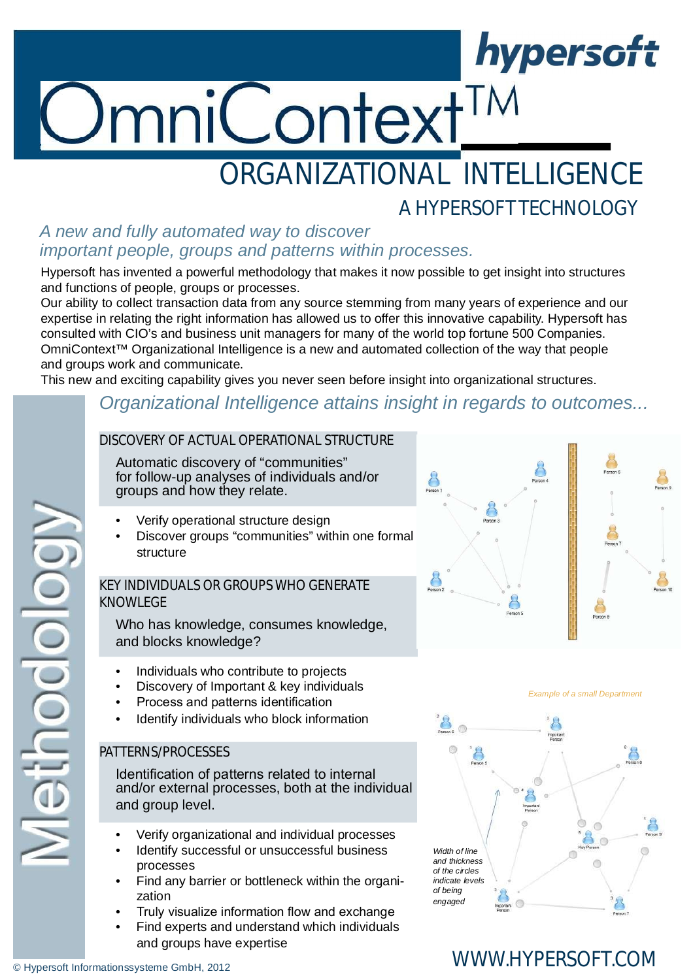# nniContext<sup>TM</sup>

## ORGANIZATIONAL INTELLIGENCE

#### A HYPERSOFT TECHNOLOGY *A new and fully automated way to discover important people, groups and patterns within processes.*

Hypersoft has invented a powerful methodology that makes it now possible to get insight into structures and functions of people, groups or processes.

Our ability to collect transaction data from any source stemming from many years of experience and our expertise in relating the right information has allowed us to offer this innovative capability. Hypersoft has consulted with CIO's and business unit managers for many of the world top fortune 500 Companies. OmniContext™ Organizational Intelligence is a new and automated collection of the way that people and groups work and communicate.

This new and exciting capability gives you never seen before insight into organizational structures.

#### *Organizational Intelligence attains insight in regards to outcomes...*

#### DISCOVERY OF ACTUAL OPERATIONAL STRUCTURE

Automatic discovery of "communities" for follow-up analyses of individuals and/or groups and how they relate.

- Verify operational structure design
- Discover groups "communities" within one formal structure

#### KEY INDIVIDUALS OR GROUPS WHO GENERATE KNOWLEGE

Who has knowledge, consumes knowledge, and blocks knowledge?

- Individuals who contribute to projects
- Discovery of Important & key individuals
- Process and patterns identification
- Identify individuals who block information

#### PATTERNS/PROCESSES

Identification of patterns related to internal and/or external processes, both at the individual and group level.

- Verify organizational and individual processes
- Identify successful or unsuccessful business processes
- Find any barrier or bottleneck within the organization
- Truly visualize information flow and exchange
- Find experts and understand which individuals and groups have expertise



hypersoft



## WWW.HYPERSOFT.COM